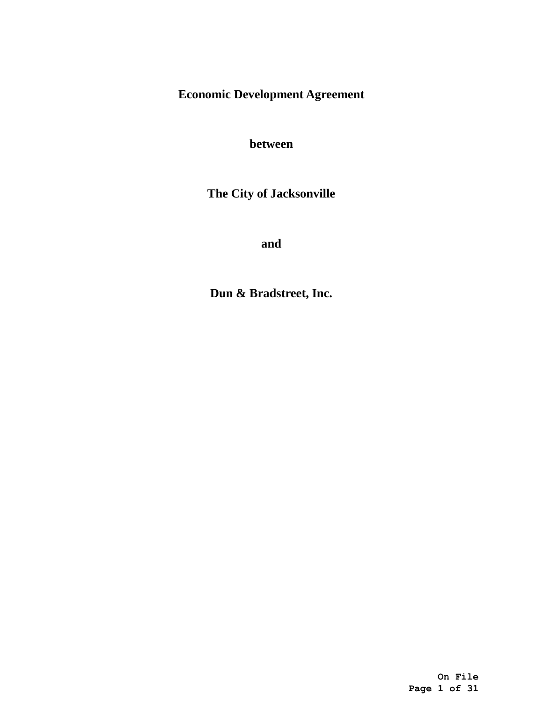**Economic Development Agreement**

**between**

**The City of Jacksonville**

**and**

**Dun & Bradstreet, Inc.**

**On File Page 1 of 31**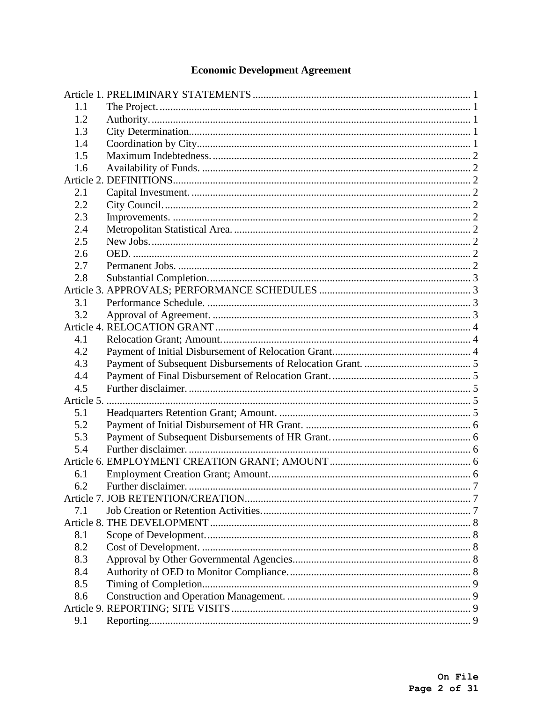# **Economic Development Agreement**

| 1.1        |                    |  |
|------------|--------------------|--|
| 1.2        |                    |  |
| 1.3        |                    |  |
| 1.4        |                    |  |
| 1.5        |                    |  |
| 1.6        |                    |  |
|            |                    |  |
| 2.1        |                    |  |
| 2.2        |                    |  |
| 2.3        |                    |  |
| 2.4        |                    |  |
| 2.5        |                    |  |
| 2.6        |                    |  |
| 2.7        |                    |  |
| 2.8        |                    |  |
|            |                    |  |
| 3.1        |                    |  |
| 3.2        |                    |  |
|            |                    |  |
| 4.1        |                    |  |
| 4.2        |                    |  |
| 4.3        |                    |  |
| 4.4        |                    |  |
| 4.5        |                    |  |
| Article 5. |                    |  |
| 5.1        |                    |  |
| 5.2        |                    |  |
| 5.3        |                    |  |
| 5.4        |                    |  |
|            |                    |  |
| 6.1        |                    |  |
| 6.2        | Further disclaimer |  |
| 7.1        |                    |  |
|            |                    |  |
| 8.1        |                    |  |
| 8.2        |                    |  |
| 8.3        |                    |  |
| 8.4        |                    |  |
| 8.5        |                    |  |
| 8.6        |                    |  |
|            |                    |  |
| 9.1        |                    |  |
|            |                    |  |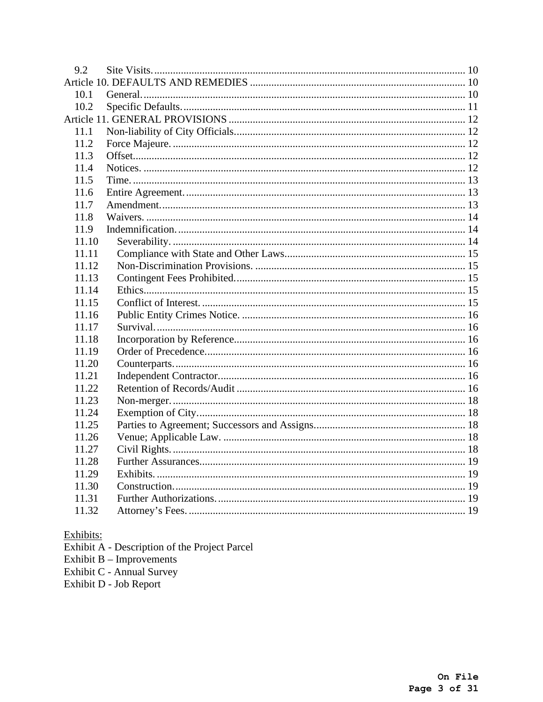| 9.2   |  |
|-------|--|
|       |  |
| 10.1  |  |
| 10.2  |  |
|       |  |
| 11.1  |  |
| 11.2  |  |
| 11.3  |  |
| 11.4  |  |
| 11.5  |  |
| 11.6  |  |
| 11.7  |  |
| 11.8  |  |
| 11.9  |  |
| 11.10 |  |
| 11.11 |  |
| 11.12 |  |
| 11.13 |  |
| 11.14 |  |
| 11.15 |  |
| 11.16 |  |
| 11.17 |  |
| 11.18 |  |
| 11.19 |  |
| 11.20 |  |
| 11.21 |  |
| 11.22 |  |
| 11.23 |  |
| 11.24 |  |
| 11.25 |  |
| 11.26 |  |
| 11.27 |  |
| 11.28 |  |
| 11.29 |  |
| 11.30 |  |
| 11.31 |  |
| 11.32 |  |

- Exhibits:<br>Exhibit A Description of the Project Parcel<br>Exhibit B Improvements<br>Exhibit C Annual Survey<br>Exhibit D Job Report
- 
- 
-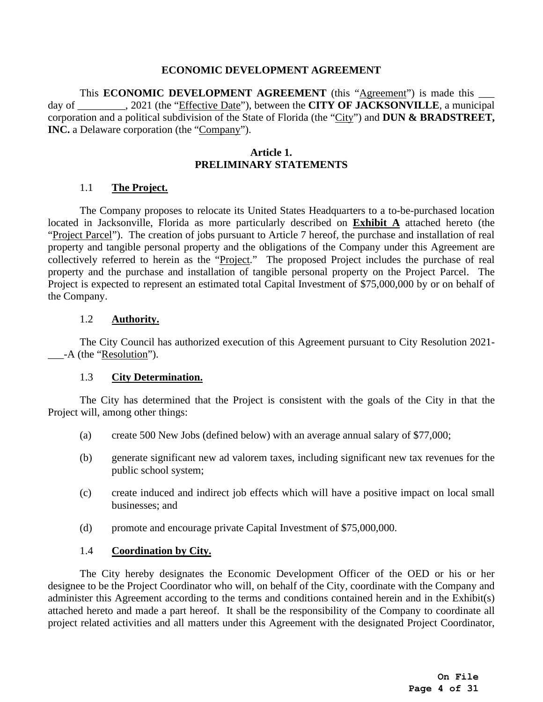### **ECONOMIC DEVELOPMENT AGREEMENT**

This **ECONOMIC DEVELOPMENT AGREEMENT** (this "Agreement") is made this \_ day of \_\_\_\_\_\_\_\_\_, 2021 (the "Effective Date"), between the **CITY OF JACKSONVILLE**, a municipal corporation and a political subdivision of the State of Florida (the "City") and **DUN & BRADSTREET, INC.** a Delaware corporation (the "Company").

## **Article 1. PRELIMINARY STATEMENTS**

### <span id="page-3-0"></span>1.1 **The Project.**

<span id="page-3-1"></span>The Company proposes to relocate its United States Headquarters to a to-be-purchased location located in Jacksonville, Florida as more particularly described on **[Exhibit A](#page-24-0)** attached hereto (the "Project Parcel"). The creation of jobs pursuant to [Article 7](#page-9-1) hereof, the purchase and installation of real property and tangible personal property and the obligations of the Company under this Agreement are collectively referred to herein as the "Project." The proposed Project includes the purchase of real property and the purchase and installation of tangible personal property on the Project Parcel. The Project is expected to represent an estimated total Capital Investment of \$75,000,000 by or on behalf of the Company.

### 1.2 **Authority.**

<span id="page-3-2"></span>The City Council has authorized execution of this Agreement pursuant to City Resolution 2021- -A (the "Resolution").

#### 1.3 **City Determination.**

<span id="page-3-3"></span>The City has determined that the Project is consistent with the goals of the City in that the Project will, among other things:

- (a) create 500 New Jobs (defined below) with an average annual salary of \$77,000;
- (b) generate significant new ad valorem taxes, including significant new tax revenues for the public school system;
- (c) create induced and indirect job effects which will have a positive impact on local small businesses; and
- (d) promote and encourage private Capital Investment of \$75,000,000.

## 1.4 **Coordination by City.**

<span id="page-3-4"></span>The City hereby designates the Economic Development Officer of the OED or his or her designee to be the Project Coordinator who will, on behalf of the City, coordinate with the Company and administer this Agreement according to the terms and conditions contained herein and in the Exhibit(s) attached hereto and made a part hereof. It shall be the responsibility of the Company to coordinate all project related activities and all matters under this Agreement with the designated Project Coordinator,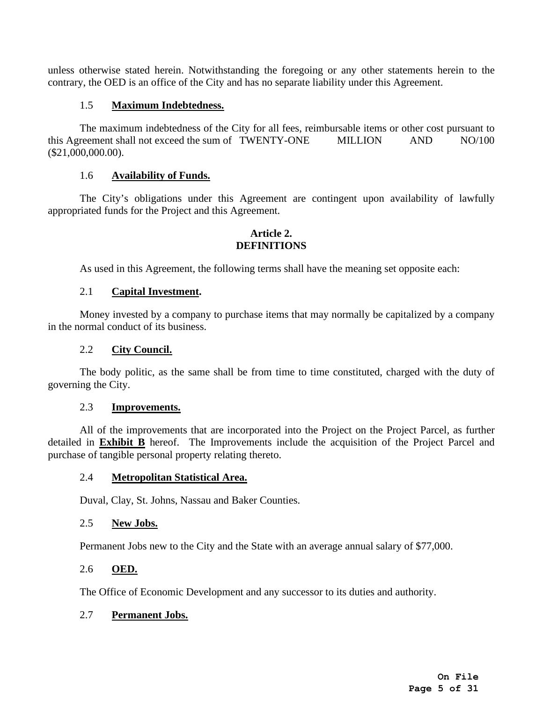unless otherwise stated herein. Notwithstanding the foregoing or any other statements herein to the contrary, the OED is an office of the City and has no separate liability under this Agreement.

## 1.5 **Maximum Indebtedness.**

<span id="page-4-0"></span>The maximum indebtedness of the City for all fees, reimbursable items or other cost pursuant to this Agreement shall not exceed the sum of TWENTY-ONE MILLION AND NO/100 (\$21,000,000.00).

## 1.6 **Availability of Funds.**

<span id="page-4-1"></span>The City's obligations under this Agreement are contingent upon availability of lawfully appropriated funds for the Project and this Agreement.

## **Article 2. DEFINITIONS**

<span id="page-4-2"></span>As used in this Agreement, the following terms shall have the meaning set opposite each:

## 2.1 **Capital Investment.**

<span id="page-4-3"></span>Money invested by a company to purchase items that may normally be capitalized by a company in the normal conduct of its business.

## 2.2 **City Council.**

<span id="page-4-4"></span>The body politic, as the same shall be from time to time constituted, charged with the duty of governing the City.

#### 2.3 **Improvements.**

<span id="page-4-5"></span>All of the improvements that are incorporated into the Project on the Project Parcel, as further detailed in **Exhibit B** hereof. The Improvements include the acquisition of the Project Parcel and purchase of tangible personal property relating thereto.

## <span id="page-4-6"></span>2.4 **Metropolitan Statistical Area.**

Duval, Clay, St. Johns, Nassau and Baker Counties.

## <span id="page-4-7"></span>2.5 **New Jobs.**

Permanent Jobs new to the City and the State with an average annual salary of \$77,000.

## <span id="page-4-8"></span>2.6 **OED.**

The Office of Economic Development and any successor to its duties and authority.

## <span id="page-4-9"></span>2.7 **Permanent Jobs.**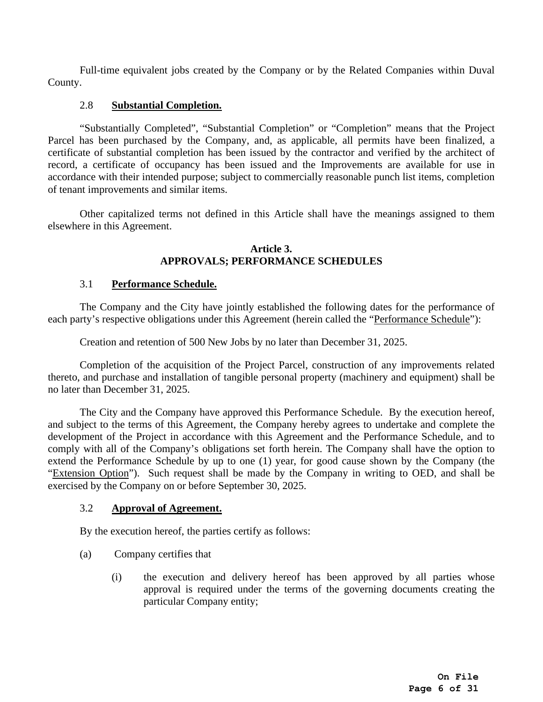Full-time equivalent jobs created by the Company or by the Related Companies within Duval County.

## <span id="page-5-0"></span>2.8 **Substantial Completion.**

"Substantially Completed", "Substantial Completion" or "Completion" means that the Project Parcel has been purchased by the Company, and, as applicable, all permits have been finalized, a certificate of substantial completion has been issued by the contractor and verified by the architect of record, a certificate of occupancy has been issued and the Improvements are available for use in accordance with their intended purpose; subject to commercially reasonable punch list items, completion of tenant improvements and similar items.

Other capitalized terms not defined in this Article shall have the meanings assigned to them elsewhere in this Agreement.

## **Article 3. APPROVALS; PERFORMANCE SCHEDULES**

## <span id="page-5-1"></span>3.1 **Performance Schedule.**

<span id="page-5-2"></span>The Company and the City have jointly established the following dates for the performance of each party's respective obligations under this Agreement (herein called the "Performance Schedule"):

Creation and retention of 500 New Jobs by no later than December 31, 2025.

Completion of the acquisition of the Project Parcel, construction of any improvements related thereto, and purchase and installation of tangible personal property (machinery and equipment) shall be no later than December 31, 2025.

The City and the Company have approved this Performance Schedule. By the execution hereof, and subject to the terms of this Agreement, the Company hereby agrees to undertake and complete the development of the Project in accordance with this Agreement and the Performance Schedule, and to comply with all of the Company's obligations set forth herein. The Company shall have the option to extend the Performance Schedule by up to one (1) year, for good cause shown by the Company (the "Extension Option"). Such request shall be made by the Company in writing to OED, and shall be exercised by the Company on or before September 30, 2025.

## <span id="page-5-3"></span>3.2 **Approval of Agreement.**

By the execution hereof, the parties certify as follows:

- (a) Company certifies that
	- (i) the execution and delivery hereof has been approved by all parties whose approval is required under the terms of the governing documents creating the particular Company entity;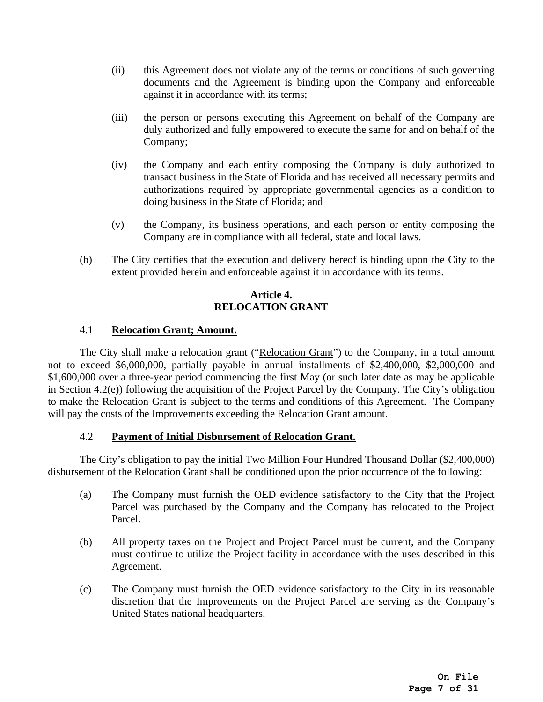- (ii) this Agreement does not violate any of the terms or conditions of such governing documents and the Agreement is binding upon the Company and enforceable against it in accordance with its terms;
- (iii) the person or persons executing this Agreement on behalf of the Company are duly authorized and fully empowered to execute the same for and on behalf of the Company;
- (iv) the Company and each entity composing the Company is duly authorized to transact business in the State of Florida and has received all necessary permits and authorizations required by appropriate governmental agencies as a condition to doing business in the State of Florida; and
- (v) the Company, its business operations, and each person or entity composing the Company are in compliance with all federal, state and local laws.
- (b) The City certifies that the execution and delivery hereof is binding upon the City to the extent provided herein and enforceable against it in accordance with its terms.

## **Article 4. RELOCATION GRANT**

## <span id="page-6-0"></span>4.1 **Relocation Grant; Amount.**

<span id="page-6-1"></span>The City shall make a relocation grant ("Relocation Grant") to the Company, in a total amount not to exceed \$6,000,000, partially payable in annual installments of \$2,400,000, \$2,000,000 and \$1,600,000 over a three-year period commencing the first May (or such later date as may be applicable in Section 4.2(e)) following the acquisition of the Project Parcel by the Company. The City's obligation to make the Relocation Grant is subject to the terms and conditions of this Agreement. The Company will pay the costs of the Improvements exceeding the Relocation Grant amount.

## 4.2 **Payment of Initial Disbursement of Relocation Grant.**

<span id="page-6-2"></span>The City's obligation to pay the initial Two Million Four Hundred Thousand Dollar (\$2,400,000) disbursement of the Relocation Grant shall be conditioned upon the prior occurrence of the following:

- (a) The Company must furnish the OED evidence satisfactory to the City that the Project Parcel was purchased by the Company and the Company has relocated to the Project Parcel.
- (b) All property taxes on the Project and Project Parcel must be current, and the Company must continue to utilize the Project facility in accordance with the uses described in this Agreement.
- (c) The Company must furnish the OED evidence satisfactory to the City in its reasonable discretion that the Improvements on the Project Parcel are serving as the Company's United States national headquarters.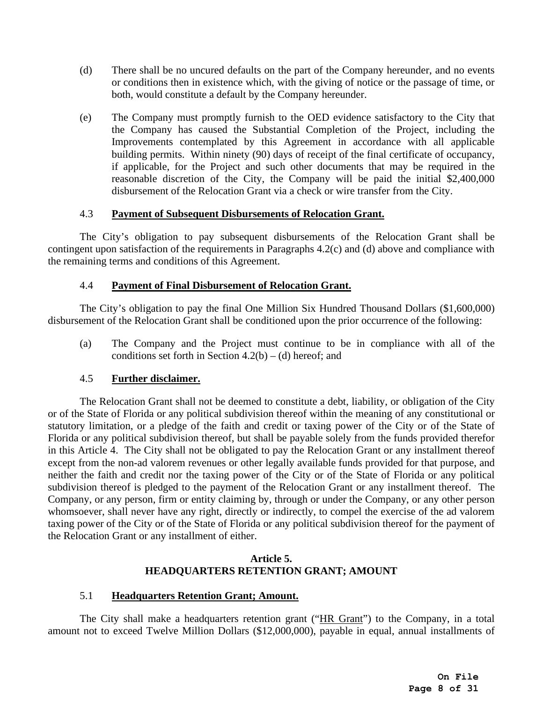- (d) There shall be no uncured defaults on the part of the Company hereunder, and no events or conditions then in existence which, with the giving of notice or the passage of time, or both, would constitute a default by the Company hereunder.
- (e) The Company must promptly furnish to the OED evidence satisfactory to the City that the Company has caused the Substantial Completion of the Project, including the Improvements contemplated by this Agreement in accordance with all applicable building permits. Within ninety (90) days of receipt of the final certificate of occupancy, if applicable, for the Project and such other documents that may be required in the reasonable discretion of the City, the Company will be paid the initial \$2,400,000 disbursement of the Relocation Grant via a check or wire transfer from the City.

## 4.3 **Payment of Subsequent Disbursements of Relocation Grant.**

<span id="page-7-0"></span>The City's obligation to pay subsequent disbursements of the Relocation Grant shall be contingent upon satisfaction of the requirements in Paragraphs 4.2(c) and (d) above and compliance with the remaining terms and conditions of this Agreement.

## 4.4 **Payment of Final Disbursement of Relocation Grant.**

<span id="page-7-1"></span>The City's obligation to pay the final One Million Six Hundred Thousand Dollars (\$1,600,000) disbursement of the Relocation Grant shall be conditioned upon the prior occurrence of the following:

(a) The Company and the Project must continue to be in compliance with all of the conditions set forth in Section  $4.2(b) - (d)$  hereof; and

## 4.5 **Further disclaimer.**

<span id="page-7-2"></span>The Relocation Grant shall not be deemed to constitute a debt, liability, or obligation of the City or of the State of Florida or any political subdivision thereof within the meaning of any constitutional or statutory limitation, or a pledge of the faith and credit or taxing power of the City or of the State of Florida or any political subdivision thereof, but shall be payable solely from the funds provided therefor in this Article 4. The City shall not be obligated to pay the Relocation Grant or any installment thereof except from the non-ad valorem revenues or other legally available funds provided for that purpose, and neither the faith and credit nor the taxing power of the City or of the State of Florida or any political subdivision thereof is pledged to the payment of the Relocation Grant or any installment thereof. The Company, or any person, firm or entity claiming by, through or under the Company, or any other person whomsoever, shall never have any right, directly or indirectly, to compel the exercise of the ad valorem taxing power of the City or of the State of Florida or any political subdivision thereof for the payment of the Relocation Grant or any installment of either.

## **Article 5. HEADQUARTERS RETENTION GRANT; AMOUNT**

## <span id="page-7-3"></span>5.1 **Headquarters Retention Grant; Amount.**

<span id="page-7-4"></span>The City shall make a headquarters retention grant ("HR Grant") to the Company, in a total amount not to exceed Twelve Million Dollars (\$12,000,000), payable in equal, annual installments of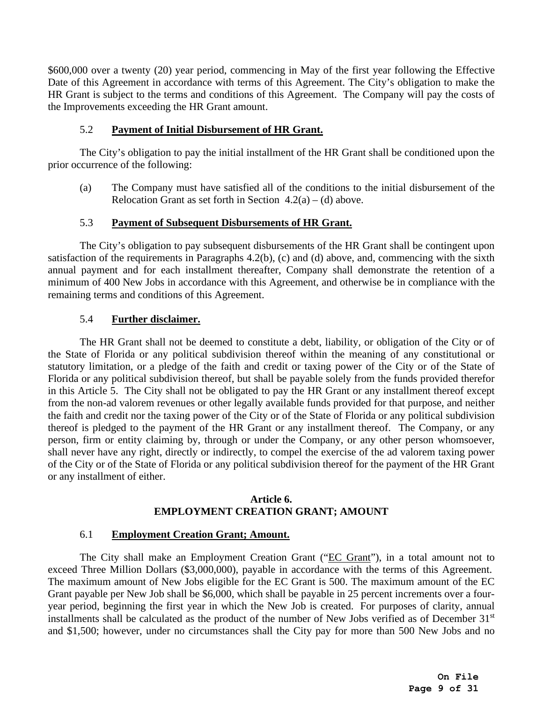\$600,000 over a twenty (20) year period, commencing in May of the first year following the Effective Date of this Agreement in accordance with terms of this Agreement. The City's obligation to make the HR Grant is subject to the terms and conditions of this Agreement. The Company will pay the costs of the Improvements exceeding the HR Grant amount.

## 5.2 **Payment of Initial Disbursement of HR Grant.**

<span id="page-8-0"></span>The City's obligation to pay the initial installment of the HR Grant shall be conditioned upon the prior occurrence of the following:

(a) The Company must have satisfied all of the conditions to the initial disbursement of the Relocation Grant as set forth in Section  $4.2(a) - (d)$  above.

## 5.3 **Payment of Subsequent Disbursements of HR Grant.**

<span id="page-8-1"></span>The City's obligation to pay subsequent disbursements of the HR Grant shall be contingent upon satisfaction of the requirements in Paragraphs 4.2(b), (c) and (d) above, and, commencing with the sixth annual payment and for each installment thereafter, Company shall demonstrate the retention of a minimum of 400 New Jobs in accordance with this Agreement, and otherwise be in compliance with the remaining terms and conditions of this Agreement.

## 5.4 **Further disclaimer.**

<span id="page-8-2"></span>The HR Grant shall not be deemed to constitute a debt, liability, or obligation of the City or of the State of Florida or any political subdivision thereof within the meaning of any constitutional or statutory limitation, or a pledge of the faith and credit or taxing power of the City or of the State of Florida or any political subdivision thereof, but shall be payable solely from the funds provided therefor in this Article 5. The City shall not be obligated to pay the HR Grant or any installment thereof except from the non-ad valorem revenues or other legally available funds provided for that purpose, and neither the faith and credit nor the taxing power of the City or of the State of Florida or any political subdivision thereof is pledged to the payment of the HR Grant or any installment thereof. The Company, or any person, firm or entity claiming by, through or under the Company, or any other person whomsoever, shall never have any right, directly or indirectly, to compel the exercise of the ad valorem taxing power of the City or of the State of Florida or any political subdivision thereof for the payment of the HR Grant or any installment of either.

## **Article 6. EMPLOYMENT CREATION GRANT; AMOUNT**

## <span id="page-8-3"></span>6.1 **Employment Creation Grant; Amount.**

<span id="page-8-4"></span>The City shall make an Employment Creation Grant ("EC Grant"), in a total amount not to exceed Three Million Dollars (\$3,000,000), payable in accordance with the terms of this Agreement. The maximum amount of New Jobs eligible for the EC Grant is 500. The maximum amount of the EC Grant payable per New Job shall be \$6,000, which shall be payable in 25 percent increments over a fouryear period, beginning the first year in which the New Job is created. For purposes of clarity, annual installments shall be calculated as the product of the number of New Jobs verified as of December 31<sup>st</sup> and \$1,500; however, under no circumstances shall the City pay for more than 500 New Jobs and no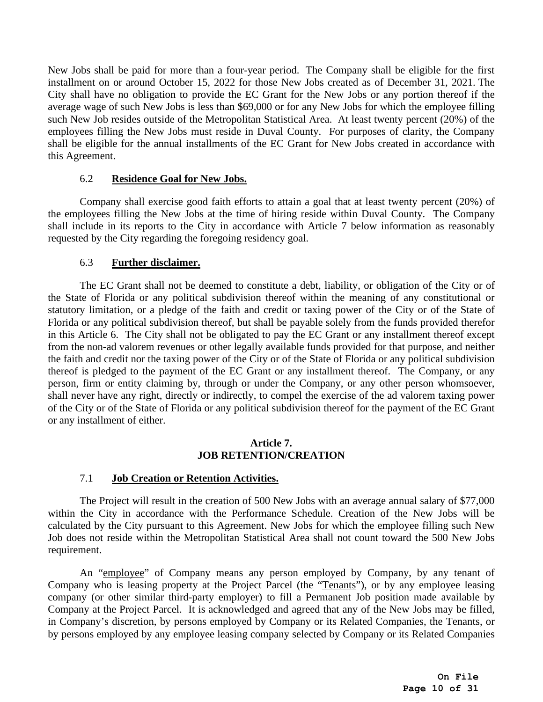New Jobs shall be paid for more than a four-year period. The Company shall be eligible for the first installment on or around October 15, 2022 for those New Jobs created as of December 31, 2021. The City shall have no obligation to provide the EC Grant for the New Jobs or any portion thereof if the average wage of such New Jobs is less than \$69,000 or for any New Jobs for which the employee filling such New Job resides outside of the Metropolitan Statistical Area. At least twenty percent (20%) of the employees filling the New Jobs must reside in Duval County. For purposes of clarity, the Company shall be eligible for the annual installments of the EC Grant for New Jobs created in accordance with this Agreement.

## 6.2 **Residence Goal for New Jobs.**

Company shall exercise good faith efforts to attain a goal that at least twenty percent (20%) of the employees filling the New Jobs at the time of hiring reside within Duval County. The Company shall include in its reports to the City in accordance with Article 7 below information as reasonably requested by the City regarding the foregoing residency goal.

## 6.3 **Further disclaimer.**

<span id="page-9-0"></span>The EC Grant shall not be deemed to constitute a debt, liability, or obligation of the City or of the State of Florida or any political subdivision thereof within the meaning of any constitutional or statutory limitation, or a pledge of the faith and credit or taxing power of the City or of the State of Florida or any political subdivision thereof, but shall be payable solely from the funds provided therefor in this Article 6. The City shall not be obligated to pay the EC Grant or any installment thereof except from the non-ad valorem revenues or other legally available funds provided for that purpose, and neither the faith and credit nor the taxing power of the City or of the State of Florida or any political subdivision thereof is pledged to the payment of the EC Grant or any installment thereof. The Company, or any person, firm or entity claiming by, through or under the Company, or any other person whomsoever, shall never have any right, directly or indirectly, to compel the exercise of the ad valorem taxing power of the City or of the State of Florida or any political subdivision thereof for the payment of the EC Grant or any installment of either.

### **Article 7. JOB RETENTION/CREATION**

## <span id="page-9-2"></span><span id="page-9-1"></span>7.1 **Job Creation or Retention Activities.**

The Project will result in the creation of 500 New Jobs with an average annual salary of \$77,000 within the City in accordance with the Performance Schedule. Creation of the New Jobs will be calculated by the City pursuant to this Agreement. New Jobs for which the employee filling such New Job does not reside within the Metropolitan Statistical Area shall not count toward the 500 New Jobs requirement.

An "employee" of Company means any person employed by Company, by any tenant of Company who is leasing property at the Project Parcel (the "Tenants"), or by any employee leasing company (or other similar third-party employer) to fill a Permanent Job position made available by Company at the Project Parcel. It is acknowledged and agreed that any of the New Jobs may be filled, in Company's discretion, by persons employed by Company or its Related Companies, the Tenants, or by persons employed by any employee leasing company selected by Company or its Related Companies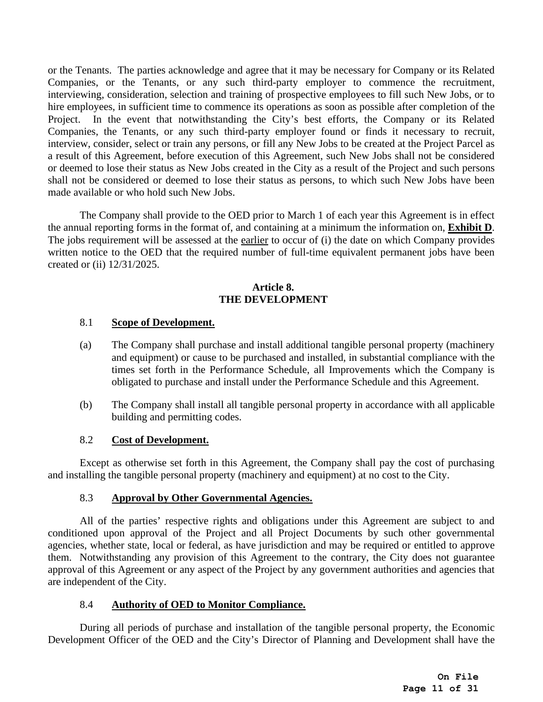or the Tenants. The parties acknowledge and agree that it may be necessary for Company or its Related Companies, or the Tenants, or any such third-party employer to commence the recruitment, interviewing, consideration, selection and training of prospective employees to fill such New Jobs, or to hire employees, in sufficient time to commence its operations as soon as possible after completion of the Project. In the event that notwithstanding the City's best efforts, the Company or its Related Companies, the Tenants, or any such third-party employer found or finds it necessary to recruit, interview, consider, select or train any persons, or fill any New Jobs to be created at the Project Parcel as a result of this Agreement, before execution of this Agreement, such New Jobs shall not be considered or deemed to lose their status as New Jobs created in the City as a result of the Project and such persons shall not be considered or deemed to lose their status as persons, to which such New Jobs have been made available or who hold such New Jobs.

The Company shall provide to the OED prior to March 1 of each year this Agreement is in effect the annual reporting forms in the format of, and containing at a minimum the information on, **[Exhibit D](#page-24-1)**. The jobs requirement will be assessed at the earlier to occur of (i) the date on which Company provides written notice to the OED that the required number of full-time equivalent permanent jobs have been created or (ii) 12/31/2025.

## **Article 8. THE DEVELOPMENT**

## <span id="page-10-1"></span><span id="page-10-0"></span>8.1 **Scope of Development.**

- (a) The Company shall purchase and install additional tangible personal property (machinery and equipment) or cause to be purchased and installed, in substantial compliance with the times set forth in the Performance Schedule, all Improvements which the Company is obligated to purchase and install under the Performance Schedule and this Agreement.
- (b) The Company shall install all tangible personal property in accordance with all applicable building and permitting codes.

## <span id="page-10-2"></span>8.2 **Cost of Development.**

Except as otherwise set forth in this Agreement, the Company shall pay the cost of purchasing and installing the tangible personal property (machinery and equipment) at no cost to the City.

## <span id="page-10-3"></span>8.3 **Approval by Other Governmental Agencies.**

All of the parties' respective rights and obligations under this Agreement are subject to and conditioned upon approval of the Project and all Project Documents by such other governmental agencies, whether state, local or federal, as have jurisdiction and may be required or entitled to approve them. Notwithstanding any provision of this Agreement to the contrary, the City does not guarantee approval of this Agreement or any aspect of the Project by any government authorities and agencies that are independent of the City.

## <span id="page-10-4"></span>8.4 **Authority of OED to Monitor Compliance.**

During all periods of purchase and installation of the tangible personal property, the Economic Development Officer of the OED and the City's Director of Planning and Development shall have the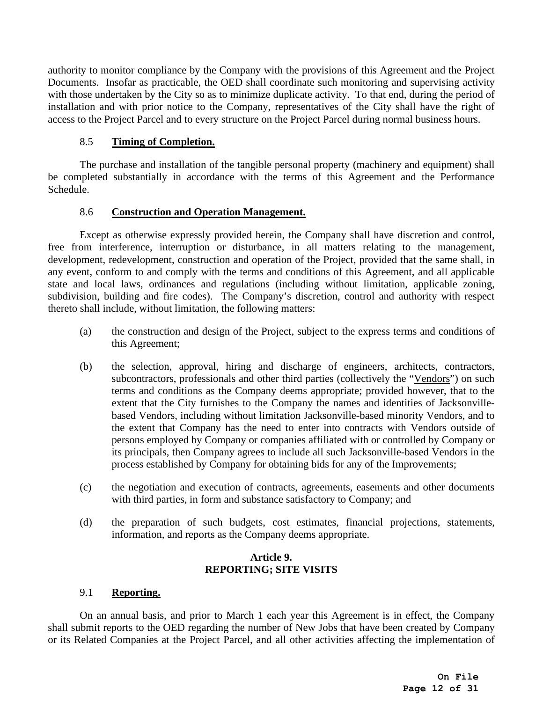authority to monitor compliance by the Company with the provisions of this Agreement and the Project Documents. Insofar as practicable, the OED shall coordinate such monitoring and supervising activity with those undertaken by the City so as to minimize duplicate activity. To that end, during the period of installation and with prior notice to the Company, representatives of the City shall have the right of access to the Project Parcel and to every structure on the Project Parcel during normal business hours.

## <span id="page-11-0"></span>8.5 **Timing of Completion.**

The purchase and installation of the tangible personal property (machinery and equipment) shall be completed substantially in accordance with the terms of this Agreement and the Performance Schedule.

## <span id="page-11-1"></span>8.6 **Construction and Operation Management.**

Except as otherwise expressly provided herein, the Company shall have discretion and control, free from interference, interruption or disturbance, in all matters relating to the management, development, redevelopment, construction and operation of the Project, provided that the same shall, in any event, conform to and comply with the terms and conditions of this Agreement, and all applicable state and local laws, ordinances and regulations (including without limitation, applicable zoning, subdivision, building and fire codes). The Company's discretion, control and authority with respect thereto shall include, without limitation, the following matters:

- (a) the construction and design of the Project, subject to the express terms and conditions of this Agreement;
- (b) the selection, approval, hiring and discharge of engineers, architects, contractors, subcontractors, professionals and other third parties (collectively the "Vendors") on such terms and conditions as the Company deems appropriate; provided however, that to the extent that the City furnishes to the Company the names and identities of Jacksonvillebased Vendors, including without limitation Jacksonville-based minority Vendors, and to the extent that Company has the need to enter into contracts with Vendors outside of persons employed by Company or companies affiliated with or controlled by Company or its principals, then Company agrees to include all such Jacksonville-based Vendors in the process established by Company for obtaining bids for any of the Improvements;
- (c) the negotiation and execution of contracts, agreements, easements and other documents with third parties, in form and substance satisfactory to Company; and
- (d) the preparation of such budgets, cost estimates, financial projections, statements, information, and reports as the Company deems appropriate.

## **Article 9. REPORTING; SITE VISITS**

## <span id="page-11-3"></span><span id="page-11-2"></span>9.1 **Reporting.**

On an annual basis, and prior to March 1 each year this Agreement is in effect, the Company shall submit reports to the OED regarding the number of New Jobs that have been created by Company or its Related Companies at the Project Parcel, and all other activities affecting the implementation of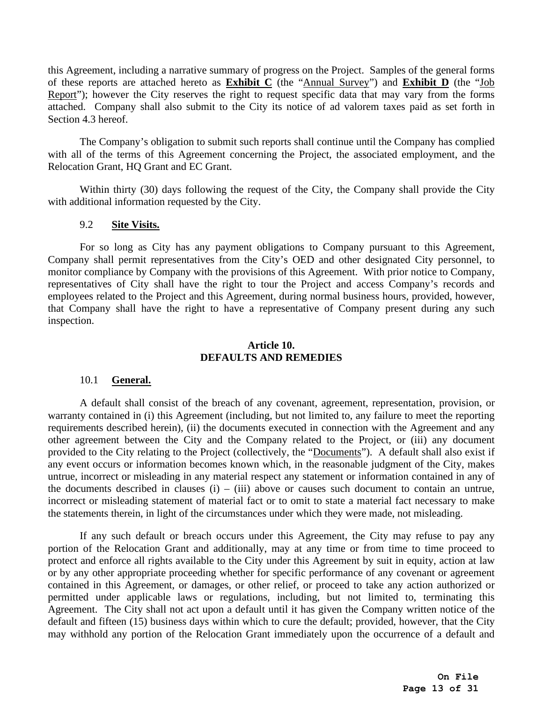this Agreement, including a narrative summary of progress on the Project. Samples of the general forms of these reports are attached hereto as **[Exhibit C](#page-24-2)** (the "Annual Survey") and **[Exhibit D](#page-24-1)** (the "Job Report"); however the City reserves the right to request specific data that may vary from the forms attached. Company shall also submit to the City its notice of ad valorem taxes paid as set forth in Section 4.3 hereof.

The Company's obligation to submit such reports shall continue until the Company has complied with all of the terms of this Agreement concerning the Project, the associated employment, and the Relocation Grant, HQ Grant and EC Grant.

Within thirty (30) days following the request of the City, the Company shall provide the City with additional information requested by the City.

## <span id="page-12-0"></span>9.2 **Site Visits.**

For so long as City has any payment obligations to Company pursuant to this Agreement, Company shall permit representatives from the City's OED and other designated City personnel, to monitor compliance by Company with the provisions of this Agreement. With prior notice to Company, representatives of City shall have the right to tour the Project and access Company's records and employees related to the Project and this Agreement, during normal business hours, provided, however, that Company shall have the right to have a representative of Company present during any such inspection.

## **Article 10. DEFAULTS AND REMEDIES**

## <span id="page-12-1"></span>10.1 **General.**

<span id="page-12-2"></span>A default shall consist of the breach of any covenant, agreement, representation, provision, or warranty contained in (i) this Agreement (including, but not limited to, any failure to meet the reporting requirements described herein), (ii) the documents executed in connection with the Agreement and any other agreement between the City and the Company related to the Project, or (iii) any document provided to the City relating to the Project (collectively, the "Documents"). A default shall also exist if any event occurs or information becomes known which, in the reasonable judgment of the City, makes untrue, incorrect or misleading in any material respect any statement or information contained in any of the documents described in clauses  $(i) - (iii)$  above or causes such document to contain an untrue, incorrect or misleading statement of material fact or to omit to state a material fact necessary to make the statements therein, in light of the circumstances under which they were made, not misleading.

If any such default or breach occurs under this Agreement, the City may refuse to pay any portion of the Relocation Grant and additionally, may at any time or from time to time proceed to protect and enforce all rights available to the City under this Agreement by suit in equity, action at law or by any other appropriate proceeding whether for specific performance of any covenant or agreement contained in this Agreement, or damages, or other relief, or proceed to take any action authorized or permitted under applicable laws or regulations, including, but not limited to, terminating this Agreement. The City shall not act upon a default until it has given the Company written notice of the default and fifteen (15) business days within which to cure the default; provided, however, that the City may withhold any portion of the Relocation Grant immediately upon the occurrence of a default and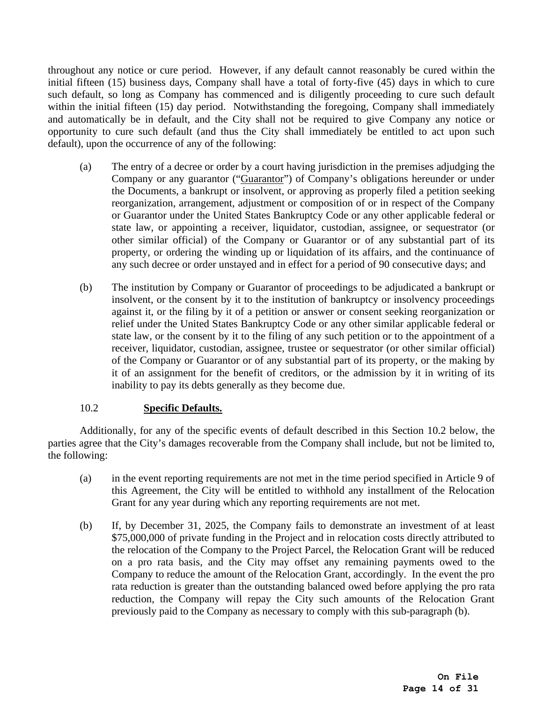throughout any notice or cure period. However, if any default cannot reasonably be cured within the initial fifteen (15) business days, Company shall have a total of forty-five (45) days in which to cure such default, so long as Company has commenced and is diligently proceeding to cure such default within the initial fifteen (15) day period. Notwithstanding the foregoing, Company shall immediately and automatically be in default, and the City shall not be required to give Company any notice or opportunity to cure such default (and thus the City shall immediately be entitled to act upon such default), upon the occurrence of any of the following:

- (a) The entry of a decree or order by a court having jurisdiction in the premises adjudging the Company or any guarantor ("Guarantor") of Company's obligations hereunder or under the Documents, a bankrupt or insolvent, or approving as properly filed a petition seeking reorganization, arrangement, adjustment or composition of or in respect of the Company or Guarantor under the United States Bankruptcy Code or any other applicable federal or state law, or appointing a receiver, liquidator, custodian, assignee, or sequestrator (or other similar official) of the Company or Guarantor or of any substantial part of its property, or ordering the winding up or liquidation of its affairs, and the continuance of any such decree or order unstayed and in effect for a period of 90 consecutive days; and
- (b) The institution by Company or Guarantor of proceedings to be adjudicated a bankrupt or insolvent, or the consent by it to the institution of bankruptcy or insolvency proceedings against it, or the filing by it of a petition or answer or consent seeking reorganization or relief under the United States Bankruptcy Code or any other similar applicable federal or state law, or the consent by it to the filing of any such petition or to the appointment of a receiver, liquidator, custodian, assignee, trustee or sequestrator (or other similar official) of the Company or Guarantor or of any substantial part of its property, or the making by it of an assignment for the benefit of creditors, or the admission by it in writing of its inability to pay its debts generally as they become due.

## <span id="page-13-0"></span>10.2 **Specific Defaults.**

<span id="page-13-1"></span>Additionally, for any of the specific events of default described in this Section [10.2](#page-13-1) below, the parties agree that the City's damages recoverable from the Company shall include, but not be limited to, the following:

- (a) in the event reporting requirements are not met in the time period specified in [Article 9](#page-11-2) of this Agreement, the City will be entitled to withhold any installment of the Relocation Grant for any year during which any reporting requirements are not met.
- (b) If, by December 31, 2025, the Company fails to demonstrate an investment of at least \$75,000,000 of private funding in the Project and in relocation costs directly attributed to the relocation of the Company to the Project Parcel, the Relocation Grant will be reduced on a pro rata basis, and the City may offset any remaining payments owed to the Company to reduce the amount of the Relocation Grant, accordingly. In the event the pro rata reduction is greater than the outstanding balanced owed before applying the pro rata reduction, the Company will repay the City such amounts of the Relocation Grant previously paid to the Company as necessary to comply with this sub-paragraph (b).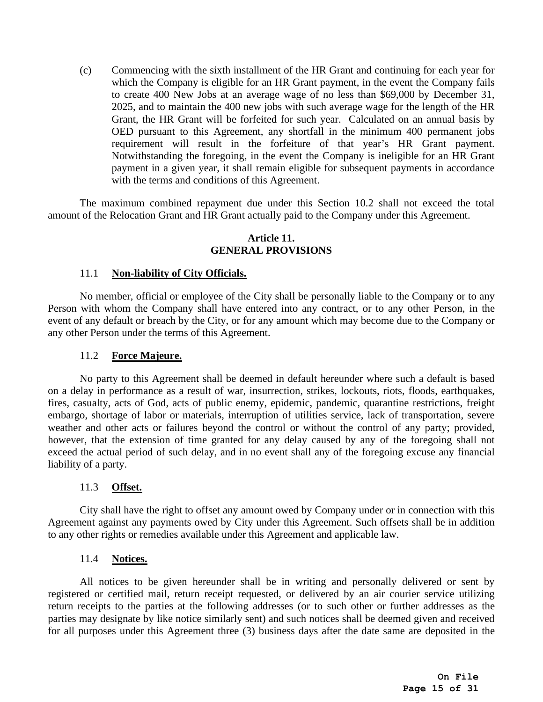(c) Commencing with the sixth installment of the HR Grant and continuing for each year for which the Company is eligible for an HR Grant payment, in the event the Company fails to create 400 New Jobs at an average wage of no less than \$69,000 by December 31, 2025, and to maintain the 400 new jobs with such average wage for the length of the HR Grant, the HR Grant will be forfeited for such year. Calculated on an annual basis by OED pursuant to this Agreement, any shortfall in the minimum 400 permanent jobs requirement will result in the forfeiture of that year's HR Grant payment. Notwithstanding the foregoing, in the event the Company is ineligible for an HR Grant payment in a given year, it shall remain eligible for subsequent payments in accordance with the terms and conditions of this Agreement.

The maximum combined repayment due under this Section [10.2](#page-13-1) shall not exceed the total amount of the Relocation Grant and HR Grant actually paid to the Company under this Agreement.

### **Article 11. GENERAL PROVISIONS**

## <span id="page-14-0"></span>11.1 **Non-liability of City Officials.**

<span id="page-14-1"></span>No member, official or employee of the City shall be personally liable to the Company or to any Person with whom the Company shall have entered into any contract, or to any other Person, in the event of any default or breach by the City, or for any amount which may become due to the Company or any other Person under the terms of this Agreement.

#### 11.2 **Force Majeure.**

<span id="page-14-2"></span>No party to this Agreement shall be deemed in default hereunder where such a default is based on a delay in performance as a result of war, insurrection, strikes, lockouts, riots, floods, earthquakes, fires, casualty, acts of God, acts of public enemy, epidemic, pandemic, quarantine restrictions, freight embargo, shortage of labor or materials, interruption of utilities service, lack of transportation, severe weather and other acts or failures beyond the control or without the control of any party; provided, however, that the extension of time granted for any delay caused by any of the foregoing shall not exceed the actual period of such delay, and in no event shall any of the foregoing excuse any financial liability of a party.

### 11.3 **Offset.**

<span id="page-14-3"></span>City shall have the right to offset any amount owed by Company under or in connection with this Agreement against any payments owed by City under this Agreement. Such offsets shall be in addition to any other rights or remedies available under this Agreement and applicable law.

#### 11.4 **Notices.**

<span id="page-14-4"></span>All notices to be given hereunder shall be in writing and personally delivered or sent by registered or certified mail, return receipt requested, or delivered by an air courier service utilizing return receipts to the parties at the following addresses (or to such other or further addresses as the parties may designate by like notice similarly sent) and such notices shall be deemed given and received for all purposes under this Agreement three (3) business days after the date same are deposited in the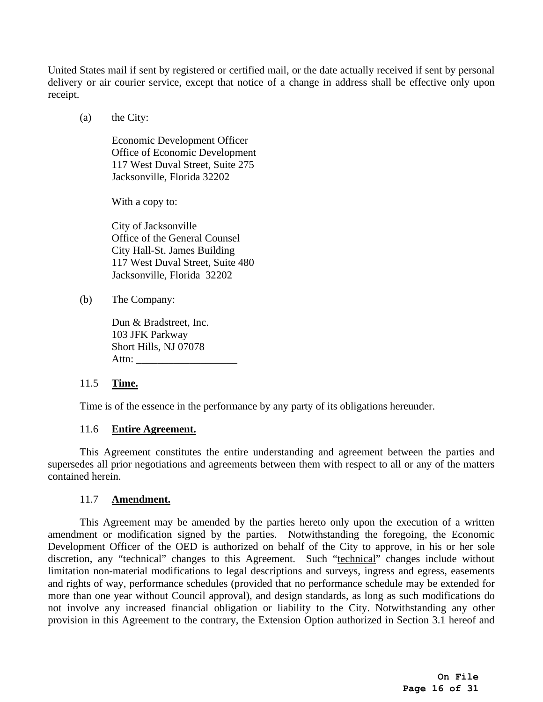United States mail if sent by registered or certified mail, or the date actually received if sent by personal delivery or air courier service, except that notice of a change in address shall be effective only upon receipt.

(a) the City:

Economic Development Officer Office of Economic Development 117 West Duval Street, Suite 275 Jacksonville, Florida 32202

With a copy to:

City of Jacksonville Office of the General Counsel City Hall-St. James Building 117 West Duval Street, Suite 480 Jacksonville, Florida 32202

(b) The Company:

Dun & Bradstreet, Inc. 103 JFK Parkway Short Hills, NJ 07078 Attn: \_\_\_\_\_\_\_\_\_\_\_\_\_\_\_\_\_\_\_

## <span id="page-15-0"></span>11.5 **Time.**

Time is of the essence in the performance by any party of its obligations hereunder.

## 11.6 **Entire Agreement.**

<span id="page-15-1"></span>This Agreement constitutes the entire understanding and agreement between the parties and supersedes all prior negotiations and agreements between them with respect to all or any of the matters contained herein.

### 11.7 **Amendment.**

<span id="page-15-2"></span>This Agreement may be amended by the parties hereto only upon the execution of a written amendment or modification signed by the parties. Notwithstanding the foregoing, the Economic Development Officer of the OED is authorized on behalf of the City to approve, in his or her sole discretion, any "technical" changes to this Agreement. Such "technical" changes include without limitation non-material modifications to legal descriptions and surveys, ingress and egress, easements and rights of way, performance schedules (provided that no performance schedule may be extended for more than one year without Council approval), and design standards, as long as such modifications do not involve any increased financial obligation or liability to the City. Notwithstanding any other provision in this Agreement to the contrary, the Extension Option authorized in Section 3.1 hereof and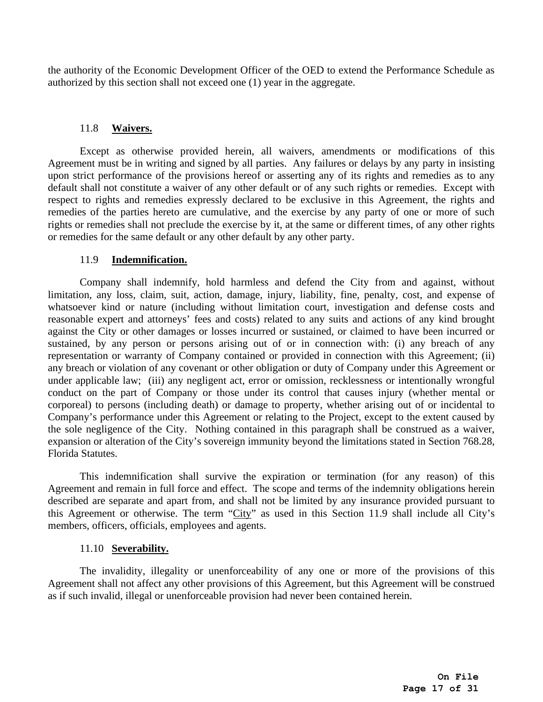the authority of the Economic Development Officer of the OED to extend the Performance Schedule as authorized by this section shall not exceed one (1) year in the aggregate.

## 11.8 **Waivers.**

<span id="page-16-0"></span>Except as otherwise provided herein, all waivers, amendments or modifications of this Agreement must be in writing and signed by all parties. Any failures or delays by any party in insisting upon strict performance of the provisions hereof or asserting any of its rights and remedies as to any default shall not constitute a waiver of any other default or of any such rights or remedies. Except with respect to rights and remedies expressly declared to be exclusive in this Agreement, the rights and remedies of the parties hereto are cumulative, and the exercise by any party of one or more of such rights or remedies shall not preclude the exercise by it, at the same or different times, of any other rights or remedies for the same default or any other default by any other party.

## 11.9 **Indemnification.**

<span id="page-16-1"></span>Company shall indemnify, hold harmless and defend the City from and against, without limitation, any loss, claim, suit, action, damage, injury, liability, fine, penalty, cost, and expense of whatsoever kind or nature (including without limitation court, investigation and defense costs and reasonable expert and attorneys' fees and costs) related to any suits and actions of any kind brought against the City or other damages or losses incurred or sustained, or claimed to have been incurred or sustained, by any person or persons arising out of or in connection with: (i) any breach of any representation or warranty of Company contained or provided in connection with this Agreement; (ii) any breach or violation of any covenant or other obligation or duty of Company under this Agreement or under applicable law; (iii) any negligent act, error or omission, recklessness or intentionally wrongful conduct on the part of Company or those under its control that causes injury (whether mental or corporeal) to persons (including death) or damage to property, whether arising out of or incidental to Company's performance under this Agreement or relating to the Project, except to the extent caused by the sole negligence of the City. Nothing contained in this paragraph shall be construed as a waiver, expansion or alteration of the City's sovereign immunity beyond the limitations stated in Section 768.28, Florida Statutes.

This indemnification shall survive the expiration or termination (for any reason) of this Agreement and remain in full force and effect. The scope and terms of the indemnity obligations herein described are separate and apart from, and shall not be limited by any insurance provided pursuant to this Agreement or otherwise. The term "City" as used in this Section [11.9](#page-16-1) shall include all City's members, officers, officials, employees and agents.

## 11.10 **Severability.**

<span id="page-16-2"></span>The invalidity, illegality or unenforceability of any one or more of the provisions of this Agreement shall not affect any other provisions of this Agreement, but this Agreement will be construed as if such invalid, illegal or unenforceable provision had never been contained herein.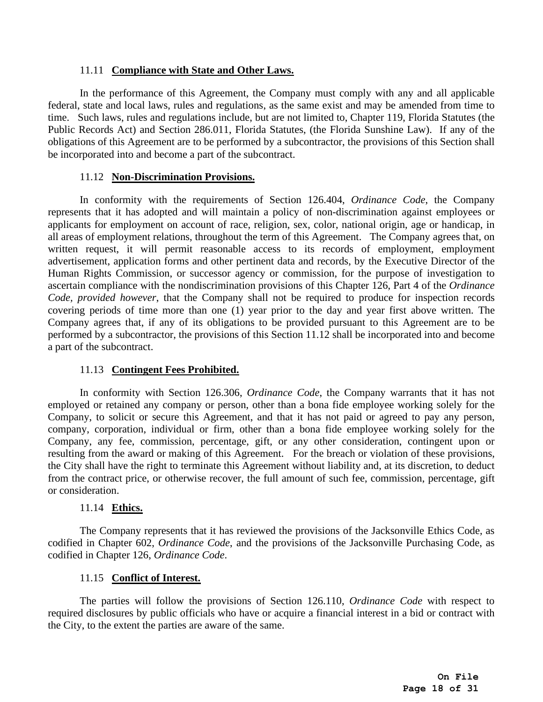## 11.11 **Compliance with State and Other Laws.**

<span id="page-17-0"></span>In the performance of this Agreement, the Company must comply with any and all applicable federal, state and local laws, rules and regulations, as the same exist and may be amended from time to time. Such laws, rules and regulations include, but are not limited to, Chapter 119, Florida Statutes (the Public Records Act) and Section 286.011, Florida Statutes, (the Florida Sunshine Law). If any of the obligations of this Agreement are to be performed by a subcontractor, the provisions of this Section shall be incorporated into and become a part of the subcontract.

## 11.12 **Non-Discrimination Provisions.**

<span id="page-17-1"></span>In conformity with the requirements of Section 126.404, *Ordinance Code*, the Company represents that it has adopted and will maintain a policy of non-discrimination against employees or applicants for employment on account of race, religion, sex, color, national origin, age or handicap, in all areas of employment relations, throughout the term of this Agreement. The Company agrees that, on written request, it will permit reasonable access to its records of employment, employment advertisement, application forms and other pertinent data and records, by the Executive Director of the Human Rights Commission, or successor agency or commission, for the purpose of investigation to ascertain compliance with the nondiscrimination provisions of this Chapter 126, Part 4 of the *Ordinance Code, provided however*, that the Company shall not be required to produce for inspection records covering periods of time more than one (1) year prior to the day and year first above written. The Company agrees that, if any of its obligations to be provided pursuant to this Agreement are to be performed by a subcontractor, the provisions of this Section [11.12](#page-17-1) shall be incorporated into and become a part of the subcontract.

## 11.13 **Contingent Fees Prohibited.**

<span id="page-17-2"></span>In conformity with Section 126.306, *Ordinance Code*, the Company warrants that it has not employed or retained any company or person, other than a bona fide employee working solely for the Company, to solicit or secure this Agreement, and that it has not paid or agreed to pay any person, company, corporation, individual or firm, other than a bona fide employee working solely for the Company, any fee, commission, percentage, gift, or any other consideration, contingent upon or resulting from the award or making of this Agreement. For the breach or violation of these provisions, the City shall have the right to terminate this Agreement without liability and, at its discretion, to deduct from the contract price, or otherwise recover, the full amount of such fee, commission, percentage, gift or consideration.

## 11.14 **Ethics.**

<span id="page-17-3"></span>The Company represents that it has reviewed the provisions of the Jacksonville Ethics Code, as codified in Chapter 602, *Ordinance Code*, and the provisions of the Jacksonville Purchasing Code, as codified in Chapter 126, *Ordinance Code*.

## 11.15 **Conflict of Interest.**

<span id="page-17-4"></span>The parties will follow the provisions of Section 126.110, *Ordinance Code* with respect to required disclosures by public officials who have or acquire a financial interest in a bid or contract with the City, to the extent the parties are aware of the same.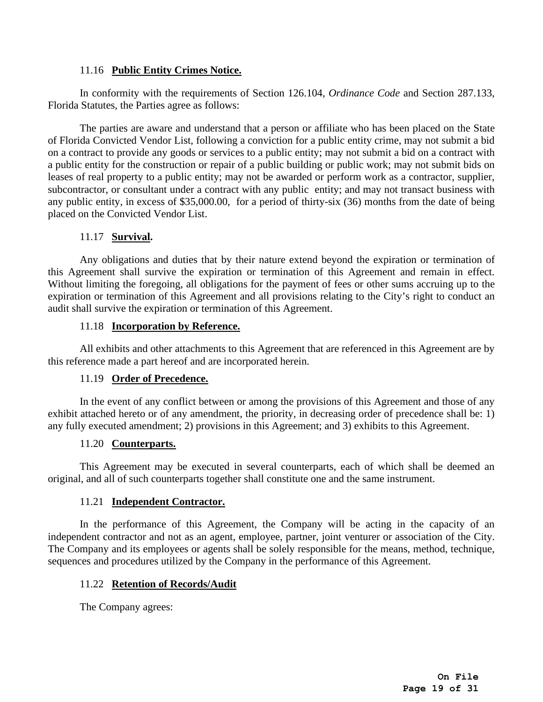## 11.16 **Public Entity Crimes Notice.**

<span id="page-18-0"></span>In conformity with the requirements of Section 126.104, *Ordinance Code* and Section 287.133, Florida Statutes, the Parties agree as follows:

The parties are aware and understand that a person or affiliate who has been placed on the State of Florida Convicted Vendor List, following a conviction for a public entity crime, may not submit a bid on a contract to provide any goods or services to a public entity; may not submit a bid on a contract with a public entity for the construction or repair of a public building or public work; may not submit bids on leases of real property to a public entity; may not be awarded or perform work as a contractor, supplier, subcontractor, or consultant under a contract with any public entity; and may not transact business with any public entity, in excess of \$35,000.00, for a period of thirty-six (36) months from the date of being placed on the Convicted Vendor List.

## 11.17 **Survival.**

<span id="page-18-1"></span>Any obligations and duties that by their nature extend beyond the expiration or termination of this Agreement shall survive the expiration or termination of this Agreement and remain in effect. Without limiting the foregoing, all obligations for the payment of fees or other sums accruing up to the expiration or termination of this Agreement and all provisions relating to the City's right to conduct an audit shall survive the expiration or termination of this Agreement.

## 11.18 **Incorporation by Reference.**

<span id="page-18-2"></span>All exhibits and other attachments to this Agreement that are referenced in this Agreement are by this reference made a part hereof and are incorporated herein.

## 11.19 **Order of Precedence.**

<span id="page-18-3"></span>In the event of any conflict between or among the provisions of this Agreement and those of any exhibit attached hereto or of any amendment, the priority, in decreasing order of precedence shall be: 1) any fully executed amendment; 2) provisions in this Agreement; and 3) exhibits to this Agreement.

## 11.20 **Counterparts.**

<span id="page-18-4"></span>This Agreement may be executed in several counterparts, each of which shall be deemed an original, and all of such counterparts together shall constitute one and the same instrument.

## 11.21 **Independent Contractor.**

<span id="page-18-5"></span>In the performance of this Agreement, the Company will be acting in the capacity of an independent contractor and not as an agent, employee, partner, joint venturer or association of the City. The Company and its employees or agents shall be solely responsible for the means, method, technique, sequences and procedures utilized by the Company in the performance of this Agreement.

## <span id="page-18-6"></span>11.22 **Retention of Records/Audit**

The Company agrees: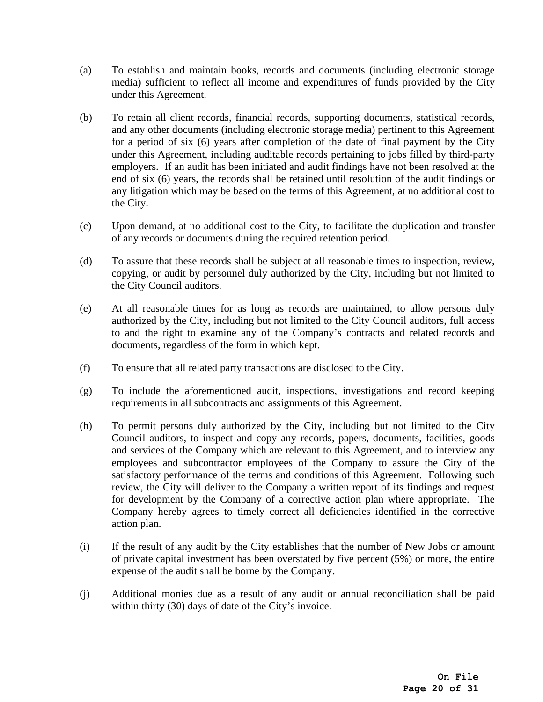- (a) To establish and maintain books, records and documents (including electronic storage media) sufficient to reflect all income and expenditures of funds provided by the City under this Agreement.
- (b) To retain all client records, financial records, supporting documents, statistical records, and any other documents (including electronic storage media) pertinent to this Agreement for a period of six (6) years after completion of the date of final payment by the City under this Agreement, including auditable records pertaining to jobs filled by third-party employers. If an audit has been initiated and audit findings have not been resolved at the end of six (6) years, the records shall be retained until resolution of the audit findings or any litigation which may be based on the terms of this Agreement, at no additional cost to the City.
- (c) Upon demand, at no additional cost to the City, to facilitate the duplication and transfer of any records or documents during the required retention period.
- (d) To assure that these records shall be subject at all reasonable times to inspection, review, copying, or audit by personnel duly authorized by the City, including but not limited to the City Council auditors.
- (e) At all reasonable times for as long as records are maintained, to allow persons duly authorized by the City, including but not limited to the City Council auditors, full access to and the right to examine any of the Company's contracts and related records and documents, regardless of the form in which kept.
- (f) To ensure that all related party transactions are disclosed to the City.
- (g) To include the aforementioned audit, inspections, investigations and record keeping requirements in all subcontracts and assignments of this Agreement.
- (h) To permit persons duly authorized by the City, including but not limited to the City Council auditors, to inspect and copy any records, papers, documents, facilities, goods and services of the Company which are relevant to this Agreement, and to interview any employees and subcontractor employees of the Company to assure the City of the satisfactory performance of the terms and conditions of this Agreement. Following such review, the City will deliver to the Company a written report of its findings and request for development by the Company of a corrective action plan where appropriate. The Company hereby agrees to timely correct all deficiencies identified in the corrective action plan.
- (i) If the result of any audit by the City establishes that the number of New Jobs or amount of private capital investment has been overstated by five percent (5%) or more, the entire expense of the audit shall be borne by the Company.
- (j) Additional monies due as a result of any audit or annual reconciliation shall be paid within thirty (30) days of date of the City's invoice.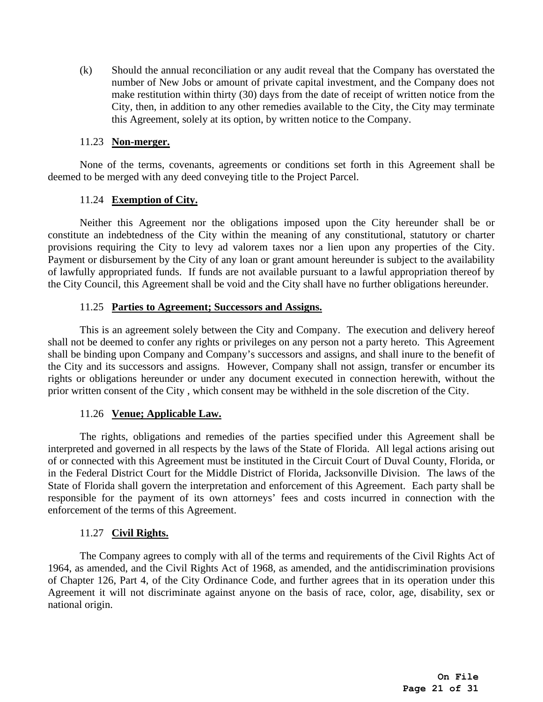(k) Should the annual reconciliation or any audit reveal that the Company has overstated the number of New Jobs or amount of private capital investment, and the Company does not make restitution within thirty (30) days from the date of receipt of written notice from the City, then, in addition to any other remedies available to the City, the City may terminate this Agreement, solely at its option, by written notice to the Company.

### 11.23 **Non-merger.**

<span id="page-20-0"></span>None of the terms, covenants, agreements or conditions set forth in this Agreement shall be deemed to be merged with any deed conveying title to the Project Parcel.

## 11.24 **Exemption of City.**

<span id="page-20-1"></span>Neither this Agreement nor the obligations imposed upon the City hereunder shall be or constitute an indebtedness of the City within the meaning of any constitutional, statutory or charter provisions requiring the City to levy ad valorem taxes nor a lien upon any properties of the City. Payment or disbursement by the City of any loan or grant amount hereunder is subject to the availability of lawfully appropriated funds. If funds are not available pursuant to a lawful appropriation thereof by the City Council, this Agreement shall be void and the City shall have no further obligations hereunder.

## 11.25 **Parties to Agreement; Successors and Assigns.**

<span id="page-20-2"></span>This is an agreement solely between the City and Company. The execution and delivery hereof shall not be deemed to confer any rights or privileges on any person not a party hereto. This Agreement shall be binding upon Company and Company's successors and assigns, and shall inure to the benefit of the City and its successors and assigns. However, Company shall not assign, transfer or encumber its rights or obligations hereunder or under any document executed in connection herewith, without the prior written consent of the City , which consent may be withheld in the sole discretion of the City.

## 11.26 **Venue; Applicable Law.**

<span id="page-20-3"></span>The rights, obligations and remedies of the parties specified under this Agreement shall be interpreted and governed in all respects by the laws of the State of Florida. All legal actions arising out of or connected with this Agreement must be instituted in the Circuit Court of Duval County, Florida, or in the Federal District Court for the Middle District of Florida, Jacksonville Division. The laws of the State of Florida shall govern the interpretation and enforcement of this Agreement. Each party shall be responsible for the payment of its own attorneys' fees and costs incurred in connection with the enforcement of the terms of this Agreement.

## 11.27 **Civil Rights.**

<span id="page-20-4"></span>The Company agrees to comply with all of the terms and requirements of the Civil Rights Act of 1964, as amended, and the Civil Rights Act of 1968, as amended, and the antidiscrimination provisions of Chapter 126, Part 4, of the City Ordinance Code, and further agrees that in its operation under this Agreement it will not discriminate against anyone on the basis of race, color, age, disability, sex or national origin.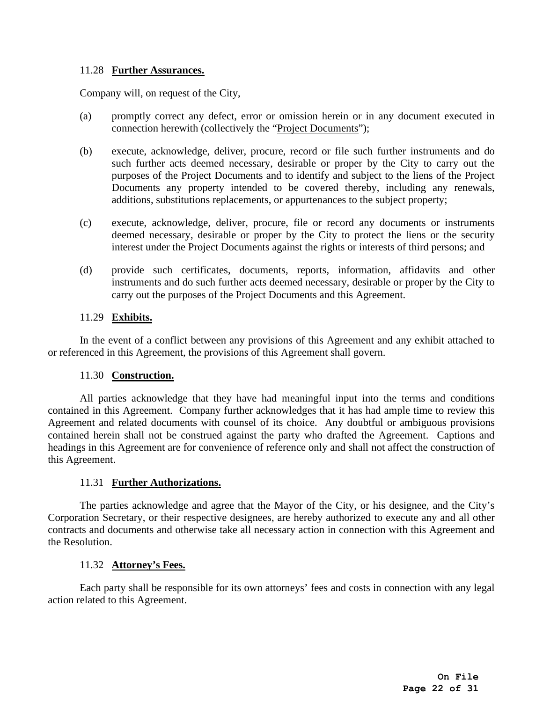## <span id="page-21-0"></span>11.28 **Further Assurances.**

Company will, on request of the City,

- (a) promptly correct any defect, error or omission herein or in any document executed in connection herewith (collectively the "Project Documents");
- (b) execute, acknowledge, deliver, procure, record or file such further instruments and do such further acts deemed necessary, desirable or proper by the City to carry out the purposes of the Project Documents and to identify and subject to the liens of the Project Documents any property intended to be covered thereby, including any renewals, additions, substitutions replacements, or appurtenances to the subject property;
- (c) execute, acknowledge, deliver, procure, file or record any documents or instruments deemed necessary, desirable or proper by the City to protect the liens or the security interest under the Project Documents against the rights or interests of third persons; and
- (d) provide such certificates, documents, reports, information, affidavits and other instruments and do such further acts deemed necessary, desirable or proper by the City to carry out the purposes of the Project Documents and this Agreement.

## 11.29 **Exhibits.**

<span id="page-21-1"></span>In the event of a conflict between any provisions of this Agreement and any exhibit attached to or referenced in this Agreement, the provisions of this Agreement shall govern.

## 11.30 **Construction.**

<span id="page-21-2"></span>All parties acknowledge that they have had meaningful input into the terms and conditions contained in this Agreement. Company further acknowledges that it has had ample time to review this Agreement and related documents with counsel of its choice. Any doubtful or ambiguous provisions contained herein shall not be construed against the party who drafted the Agreement. Captions and headings in this Agreement are for convenience of reference only and shall not affect the construction of this Agreement.

## 11.31 **Further Authorizations.**

<span id="page-21-3"></span>The parties acknowledge and agree that the Mayor of the City, or his designee, and the City's Corporation Secretary, or their respective designees, are hereby authorized to execute any and all other contracts and documents and otherwise take all necessary action in connection with this Agreement and the Resolution.

## 11.32 **Attorney's Fees.**

<span id="page-21-4"></span>Each party shall be responsible for its own attorneys' fees and costs in connection with any legal action related to this Agreement.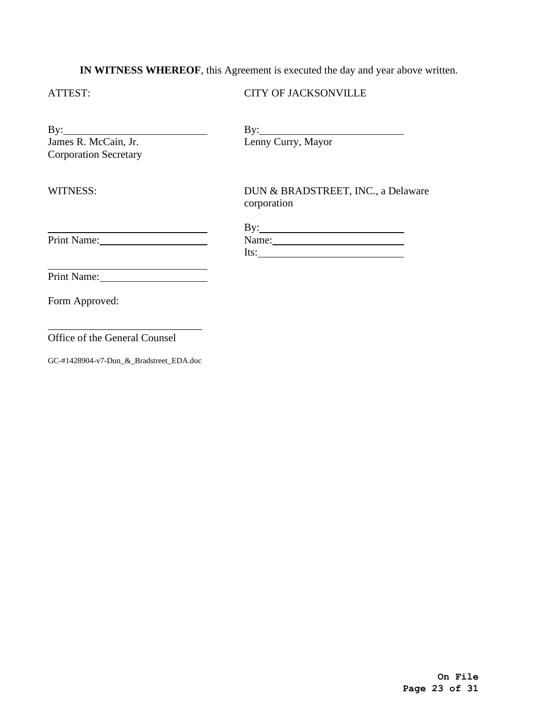# **IN WITNESS WHEREOF**, this Agreement is executed the day and year above written.

## ATTEST:

## CITY OF JACKSONVILLE

| $\mathbf{B} \mathbf{v}$ :    |  |
|------------------------------|--|
| James R. McCain, Jr.         |  |
| <b>Corporation Secretary</b> |  |

WITNESS:

 $\overline{a}$ 

By: 

Lenny Curry, Mayor

DUN & BRADSTREET, INC., a Delaware corporation

| By:   |  |
|-------|--|
| Name: |  |
| Its:  |  |

 $\overline{a}$ Print Name:

Print Name:

Form Approved:

\_\_\_\_\_\_\_\_\_\_\_\_\_\_\_\_\_\_\_\_\_\_\_\_\_\_\_\_\_ Office of the General Counsel

GC-#1428904-v7-Dun\_&\_Bradstreet\_EDA.doc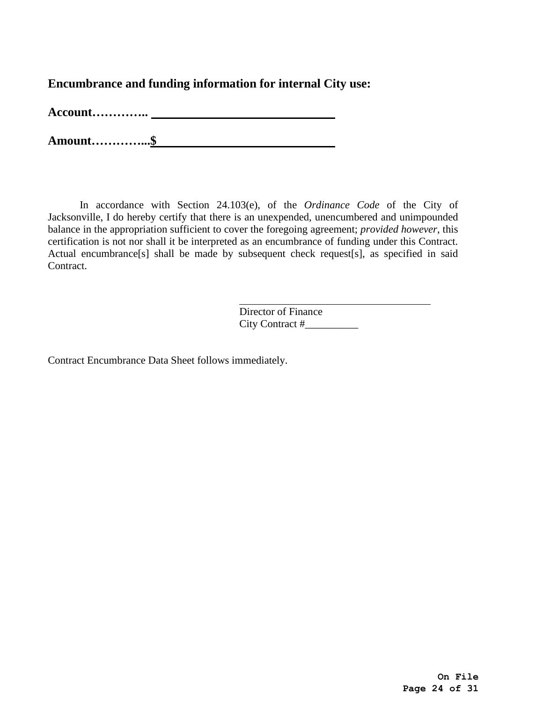**Encumbrance and funding information for internal City use:**

**Account…………..** 

**Amount…………...\$** 

In accordance with Section 24.103(e), of the *Ordinance Code* of the City of Jacksonville, I do hereby certify that there is an unexpended, unencumbered and unimpounded balance in the appropriation sufficient to cover the foregoing agreement; *provided however*, this certification is not nor shall it be interpreted as an encumbrance of funding under this Contract. Actual encumbrance<sup>[s]</sup> shall be made by subsequent check request<sup>[s]</sup>, as specified in said Contract.

> Director of Finance City Contract #\_\_\_\_\_\_\_\_\_\_

Contract Encumbrance Data Sheet follows immediately.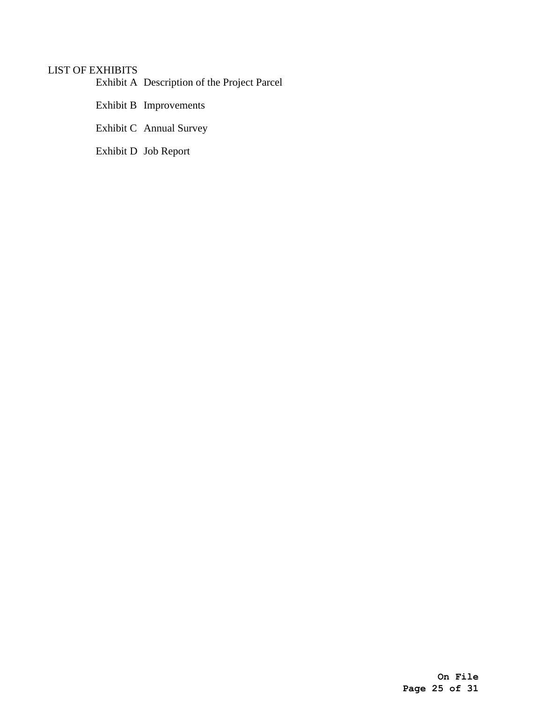# <span id="page-24-0"></span>LIST OF EXHIBITS

Exhibit A Description of the Project Parcel

Exhibit B Improvements

<span id="page-24-2"></span>Exhibit C Annual Survey

<span id="page-24-1"></span>Exhibit D Job Report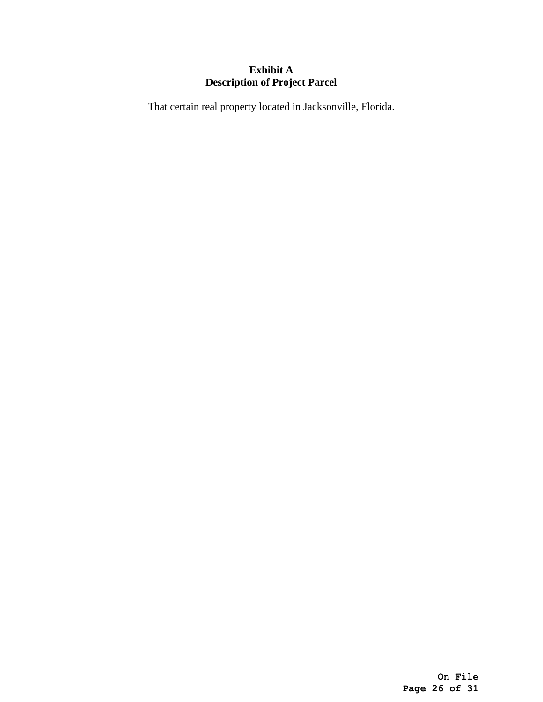# **Exhibit A Description of Project Parcel**

That certain real property located in Jacksonville, Florida.

**On File Page 26 of 31**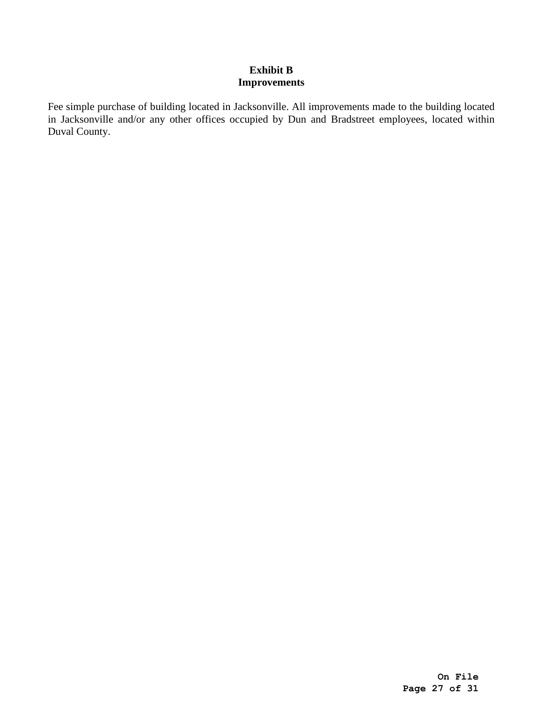## **Exhibit B Improvements**

Fee simple purchase of building located in Jacksonville. All improvements made to the building located in Jacksonville and/or any other offices occupied by Dun and Bradstreet employees, located within Duval County.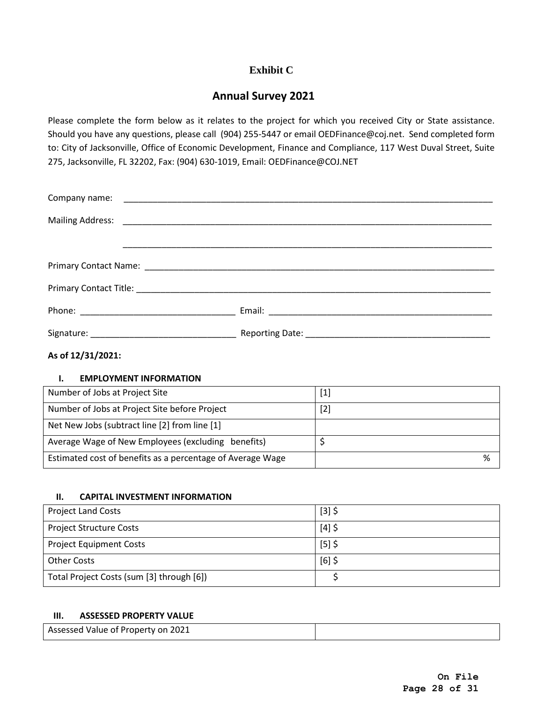# **Exhibit C**

# **Annual Survey 2021**

Please complete the form below as it relates to the project for which you received City or State assistance. Should you have any questions, please call (904) 255-5447 or email OEDFinance@coj.net. Send completed form to: City of Jacksonville, Office of Economic Development, Finance and Compliance, 117 West Duval Street, Suite 275, Jacksonville, FL 32202, Fax: (904) 630-1019, Email: OEDFinance@COJ.NET

## **As of 12/31/2021:**

## **I. EMPLOYMENT INFORMATION**

| Number of Jobs at Project Site                             | $[1]$ |
|------------------------------------------------------------|-------|
| Number of Jobs at Project Site before Project              | $[2]$ |
| Net New Jobs (subtract line [2] from line [1]              |       |
| Average Wage of New Employees (excluding benefits)         |       |
| Estimated cost of benefits as a percentage of Average Wage | %     |

## **II. CAPITAL INVESTMENT INFORMATION**

| <b>Project Land Costs</b>                 | $[3]$ \$ |
|-------------------------------------------|----------|
| <b>Project Structure Costs</b>            | $[4]$ \$ |
| <b>Project Equipment Costs</b>            | $[5]$ \$ |
| <b>Other Costs</b>                        | $[6]$ \$ |
| Total Project Costs (sum [3] through [6]) |          |

#### **III. ASSESSED PROPERTY VALUE**

| Assessed Value of Property on 2021 |  |
|------------------------------------|--|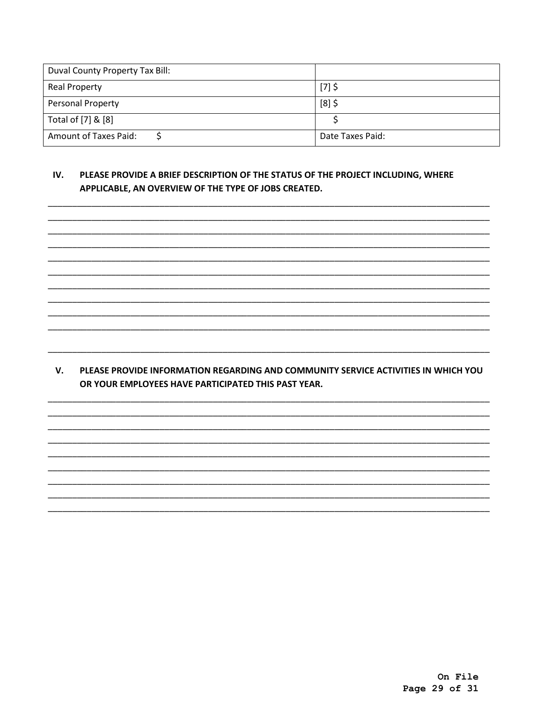| Duval County Property Tax Bill: |                  |
|---------------------------------|------------------|
| Real Property                   | $[7]$ \$         |
| <b>Personal Property</b>        | $[8]$ \$         |
| Total of [7] & [8]              |                  |
| Amount of Taxes Paid:           | Date Taxes Paid: |

#### IV. PLEASE PROVIDE A BRIEF DESCRIPTION OF THE STATUS OF THE PROJECT INCLUDING, WHERE APPLICABLE, AN OVERVIEW OF THE TYPE OF JOBS CREATED.

V. PLEASE PROVIDE INFORMATION REGARDING AND COMMUNITY SERVICE ACTIVITIES IN WHICH YOU OR YOUR EMPLOYEES HAVE PARTICIPATED THIS PAST YEAR.

> On File Page 29 of 31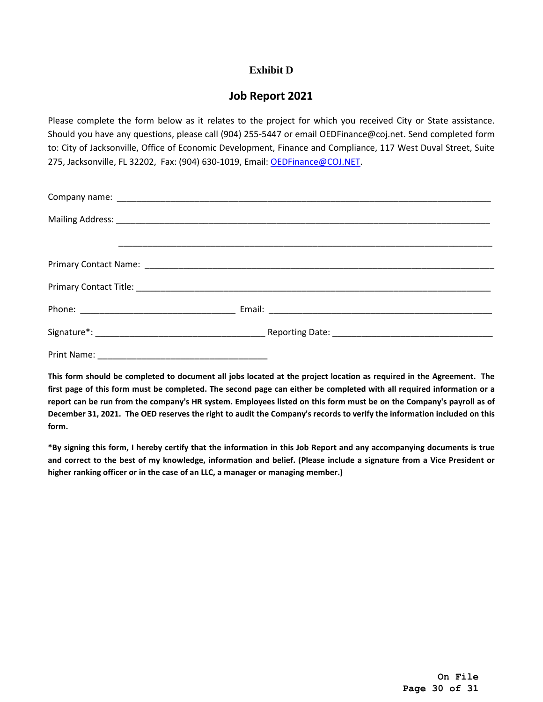## **Exhibit D**

# **Job Report 2021**

Please complete the form below as it relates to the project for which you received City or State assistance. Should you have any questions, please call (904) 255-5447 or email OEDFinance@coj.net. Send completed form to: City of Jacksonville, Office of Economic Development, Finance and Compliance, 117 West Duval Street, Suite 275, Jacksonville, FL 32202, Fax: (904) 630-1019, Email: [OEDFinance@COJ.NET.](mailto:OEDFinance@COJ.NET)

**This form should be completed to document all jobs located at the project location as required in the Agreement. The first page of this form must be completed. The second page can either be completed with all required information or a report can be run from the company's HR system. Employees listed on this form must be on the Company's payroll as of December 31, 2021. The OED reserves the right to audit the Company's records to verify the information included on this form.** 

**\*By signing this form, I hereby certify that the information in this Job Report and any accompanying documents is true and correct to the best of my knowledge, information and belief. (Please include a signature from a Vice President or higher ranking officer or in the case of an LLC, a manager or managing member.)**